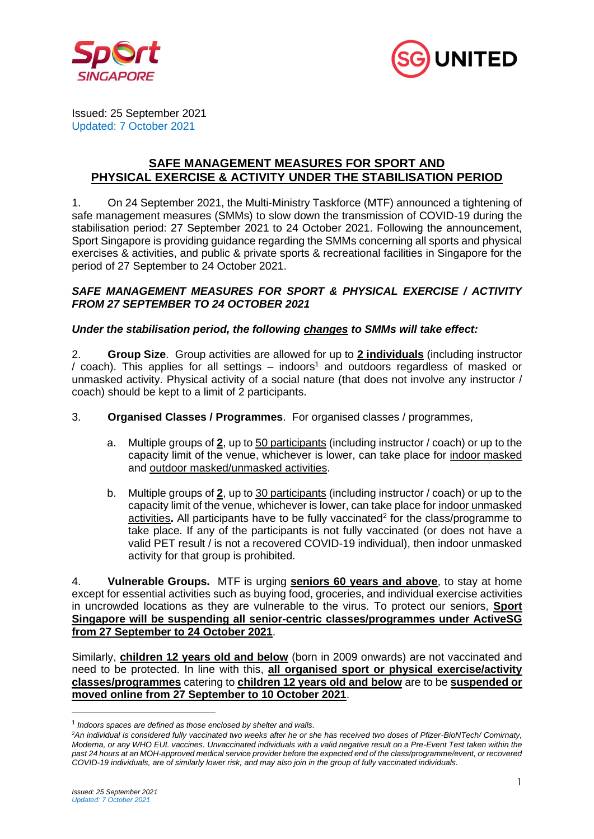



Issued: 25 September 2021 Updated: 7 October 2021

# **SAFE MANAGEMENT MEASURES FOR SPORT AND PHYSICAL EXERCISE & ACTIVITY UNDER THE STABILISATION PERIOD**

1. On 24 September 2021, the Multi-Ministry Taskforce (MTF) announced a tightening of safe management measures (SMMs) to slow down the transmission of COVID-19 during the stabilisation period: 27 September 2021 to 24 October 2021. Following the announcement, Sport Singapore is providing guidance regarding the SMMs concerning all sports and physical exercises & activities, and public & private sports & recreational facilities in Singapore for the period of 27 September to 24 October 2021.

## *SAFE MANAGEMENT MEASURES FOR SPORT & PHYSICAL EXERCISE / ACTIVITY FROM 27 SEPTEMBER TO 24 OCTOBER 2021*

## *Under the stabilisation period, the following changes to SMMs will take effect:*

2. **Group Size**. Group activities are allowed for up to **2 individuals** (including instructor / coach). This applies for all settings  $-$  indoors<sup>1</sup> and outdoors regardless of masked or unmasked activity. Physical activity of a social nature (that does not involve any instructor / coach) should be kept to a limit of 2 participants.

#### 3. **Organised Classes / Programmes**. For organised classes / programmes,

- a. Multiple groups of **2**, up to 50 participants (including instructor / coach) or up to the capacity limit of the venue, whichever is lower, can take place for indoor masked and outdoor masked/unmasked activities.
- b. Multiple groups of **2**, up to 30 participants (including instructor / coach) or up to the capacity limit of the venue, whichever is lower, can take place for indoor unmasked activities. All participants have to be fully vaccinated<sup>2</sup> for the class/programme to take place. If any of the participants is not fully vaccinated (or does not have a valid PET result / is not a recovered COVID-19 individual), then indoor unmasked activity for that group is prohibited.

4. **Vulnerable Groups.** MTF is urging **seniors 60 years and above**, to stay at home except for essential activities such as buying food, groceries, and individual exercise activities in uncrowded locations as they are vulnerable to the virus. To protect our seniors, **Sport Singapore will be suspending all senior-centric classes/programmes under ActiveSG from 27 September to 24 October 2021**.

Similarly, **children 12 years old and below** (born in 2009 onwards) are not vaccinated and need to be protected. In line with this, **all organised sport or physical exercise/activity classes/programmes** catering to **children 12 years old and below** are to be **suspended or moved online from 27 September to 10 October 2021**.

<sup>1</sup> *Indoors spaces are defined as those enclosed by shelter and walls.*

*<sup>2</sup>An individual is considered fully vaccinated two weeks after he or she has received two doses of Pfizer-BioNTech/ Comirnaty, Moderna, or any WHO EUL vaccines. Unvaccinated individuals with a valid negative result on a Pre-Event Test taken within the past 24 hours at an MOH-approved medical service provider before the expected end of the class/programme/event, or recovered COVID-19 individuals, are of similarly lower risk, and may also join in the group of fully vaccinated individuals.*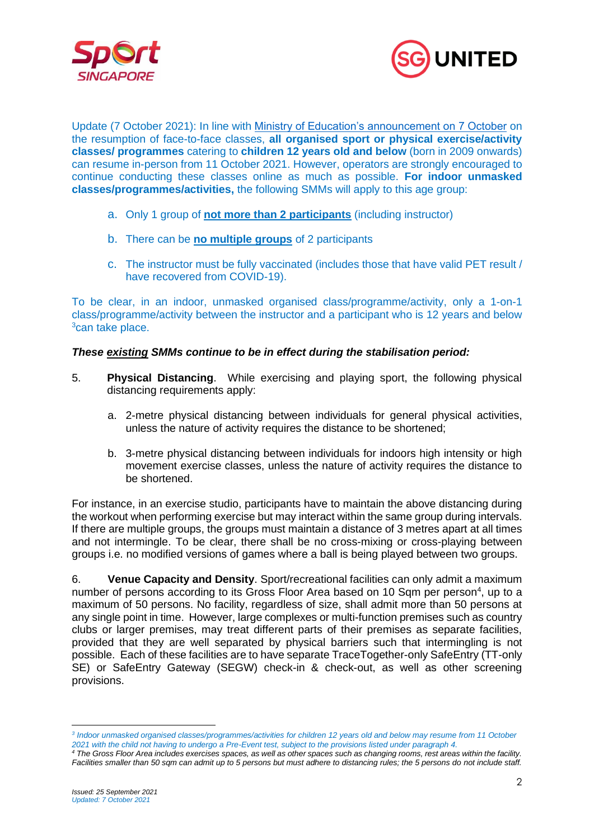



Update (7 October 2021): In line with [Ministry of Education's announcement on 7 October](https://www.moe.gov.sg/news/press-releases/20211007-phased-resumption-of-face-to-face-lessons-for-primary-schools-from-11-october) on the resumption of face-to-face classes, **all organised sport or physical exercise/activity classes/ programmes** catering to **children 12 years old and below** (born in 2009 onwards) can resume in-person from 11 October 2021. However, operators are strongly encouraged to continue conducting these classes online as much as possible. **For indoor unmasked classes/programmes/activities,** the following SMMs will apply to this age group:

- a. Only 1 group of **not more than 2 participants** (including instructor)
- b. There can be **no multiple groups** of 2 participants
- c. The instructor must be fully vaccinated (includes those that have valid PET result / have recovered from COVID-19).

To be clear, in an indoor, unmasked organised class/programme/activity, only a 1-on-1 class/programme/activity between the instructor and a participant who is 12 years and below <sup>3</sup>can take place.

## *These existing SMMs continue to be in effect during the stabilisation period:*

- 5. **Physical Distancing**. While exercising and playing sport, the following physical distancing requirements apply:
	- a. 2-metre physical distancing between individuals for general physical activities, unless the nature of activity requires the distance to be shortened;
	- b. 3-metre physical distancing between individuals for indoors high intensity or high movement exercise classes, unless the nature of activity requires the distance to be shortened.

For instance, in an exercise studio, participants have to maintain the above distancing during the workout when performing exercise but may interact within the same group during intervals. If there are multiple groups, the groups must maintain a distance of 3 metres apart at all times and not intermingle. To be clear, there shall be no cross-mixing or cross-playing between groups i.e. no modified versions of games where a ball is being played between two groups.

6. **Venue Capacity and Density**. Sport/recreational facilities can only admit a maximum number of persons according to its Gross Floor Area based on 10 Sqm per person<sup>4</sup>, up to a maximum of 50 persons. No facility, regardless of size, shall admit more than 50 persons at any single point in time. However, large complexes or multi-function premises such as country clubs or larger premises, may treat different parts of their premises as separate facilities, provided that they are well separated by physical barriers such that intermingling is not possible. Each of these facilities are to have separate TraceTogether-only SafeEntry (TT-only SE) or SafeEntry Gateway (SEGW) check-in & check-out, as well as other screening provisions.

*<sup>3</sup> Indoor unmasked organised classes/programmes/activities for children 12 years old and below may resume from 11 October 2021 with the child not having to undergo a Pre-Event test, subject to the provisions listed under paragraph 4.*

*<sup>4</sup> The Gross Floor Area includes exercises spaces, as well as other spaces such as changing rooms, rest areas within the facility. Facilities smaller than 50 sqm can admit up to 5 persons but must adhere to distancing rules; the 5 persons do not include staff.*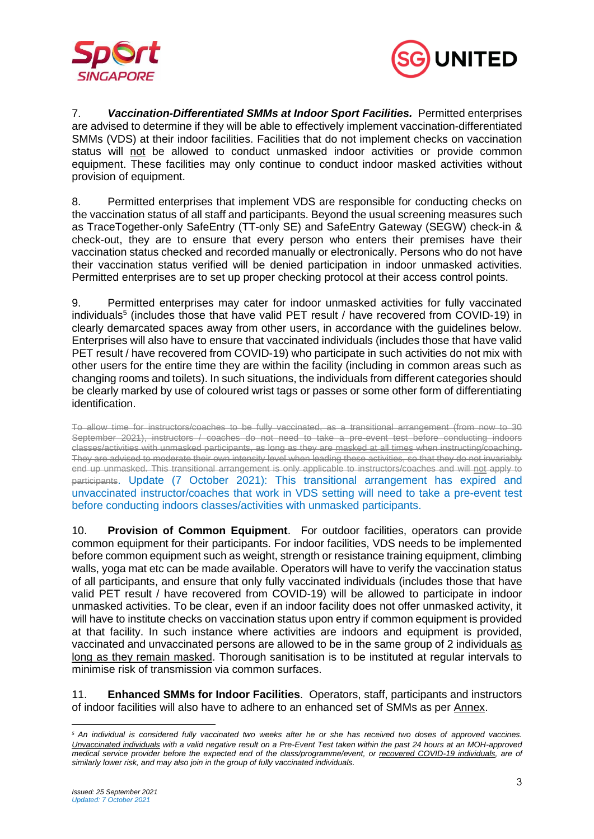



7. *Vaccination-Differentiated SMMs at Indoor Sport Facilities.* Permitted enterprises are advised to determine if they will be able to effectively implement vaccination-differentiated SMMs (VDS) at their indoor facilities. Facilities that do not implement checks on vaccination status will not be allowed to conduct unmasked indoor activities or provide common equipment. These facilities may only continue to conduct indoor masked activities without provision of equipment.

8. Permitted enterprises that implement VDS are responsible for conducting checks on the vaccination status of all staff and participants. Beyond the usual screening measures such as TraceTogether-only SafeEntry (TT-only SE) and SafeEntry Gateway (SEGW) check-in & check-out, they are to ensure that every person who enters their premises have their vaccination status checked and recorded manually or electronically. Persons who do not have their vaccination status verified will be denied participation in indoor unmasked activities. Permitted enterprises are to set up proper checking protocol at their access control points.

9. Permitted enterprises may cater for indoor unmasked activities for fully vaccinated individuals<sup>5</sup> (includes those that have valid PET result / have recovered from COVID-19) in clearly demarcated spaces away from other users, in accordance with the guidelines below. Enterprises will also have to ensure that vaccinated individuals (includes those that have valid PET result / have recovered from COVID-19) who participate in such activities do not mix with other users for the entire time they are within the facility (including in common areas such as changing rooms and toilets). In such situations, the individuals from different categories should be clearly marked by use of coloured wrist tags or passes or some other form of differentiating identification.

To allow time for instructors/coaches to be fully vaccinated, as a transitional arrangement (from now to 30 September 2021), instructors / coaches do not need to take a pre-event test before conducting indoors classes/activities with unmasked participants, as long as they are masked at all times when instructing/coaching. They are advised to moderate their own intensity level when leading these activities, so that they do not invariably end up unmasked. This transitional arrangement is only applicable to instructors/coaches and will not apply to participants. Update (7 October 2021): This transitional arrangement has expired and unvaccinated instructor/coaches that work in VDS setting will need to take a pre-event test before conducting indoors classes/activities with unmasked participants.

10. **Provision of Common Equipment**. For outdoor facilities, operators can provide common equipment for their participants. For indoor facilities, VDS needs to be implemented before common equipment such as weight, strength or resistance training equipment, climbing walls, yoga mat etc can be made available. Operators will have to verify the vaccination status of all participants, and ensure that only fully vaccinated individuals (includes those that have valid PET result / have recovered from COVID-19) will be allowed to participate in indoor unmasked activities. To be clear, even if an indoor facility does not offer unmasked activity, it will have to institute checks on vaccination status upon entry if common equipment is provided at that facility. In such instance where activities are indoors and equipment is provided, vaccinated and unvaccinated persons are allowed to be in the same group of 2 individuals as long as they remain masked. Thorough sanitisation is to be instituted at regular intervals to minimise risk of transmission via common surfaces.

11. **Enhanced SMMs for Indoor Facilities**. Operators, staff, participants and instructors of indoor facilities will also have to adhere to an enhanced set of SMMs as per Annex.

*<sup>5</sup> An individual is considered fully vaccinated two weeks after he or she has received two doses of approved vaccines. Unvaccinated individuals with a valid negative result on a Pre-Event Test taken within the past 24 hours at an MOH-approved medical service provider before the expected end of the class/programme/event, or recovered COVID-19 individuals, are of similarly lower risk, and may also join in the group of fully vaccinated individuals.*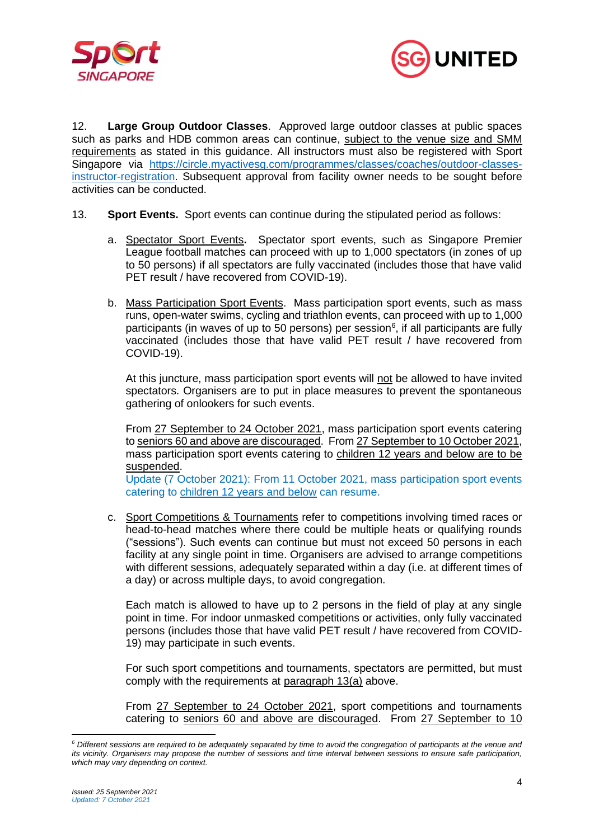



12. **Large Group Outdoor Classes**. Approved large outdoor classes at public spaces such as parks and HDB common areas can continue, subject to the venue size and SMM requirements as stated in this guidance. All instructors must also be registered with Sport Singapore via [https://circle.myactivesg.com/programmes/classes/coaches/outdoor-classes](https://circle.myactivesg.com/programmes/classes/coaches/outdoor-classes-instructor-registration)[instructor-registration.](https://circle.myactivesg.com/programmes/classes/coaches/outdoor-classes-instructor-registration) Subsequent approval from facility owner needs to be sought before activities can be conducted.

- 13. **Sport Events.** Sport events can continue during the stipulated period as follows:
	- a. Spectator Sport Events**.** Spectator sport events, such as Singapore Premier League football matches can proceed with up to 1,000 spectators (in zones of up to 50 persons) if all spectators are fully vaccinated (includes those that have valid PET result / have recovered from COVID-19).
	- b. Mass Participation Sport Events. Mass participation sport events, such as mass runs, open-water swims, cycling and triathlon events, can proceed with up to 1,000 participants (in waves of up to 50 persons) per session<sup>6</sup>, if all participants are fully vaccinated (includes those that have valid PET result / have recovered from COVID-19).

At this juncture, mass participation sport events will not be allowed to have invited spectators. Organisers are to put in place measures to prevent the spontaneous gathering of onlookers for such events.

From 27 September to 24 October 2021, mass participation sport events catering to seniors 60 and above are discouraged. From 27 September to 10 October 2021, mass participation sport events catering to children 12 years and below are to be suspended.

Update (7 October 2021): From 11 October 2021, mass participation sport events catering to children 12 years and below can resume.

c. Sport Competitions & Tournaments refer to competitions involving timed races or head-to-head matches where there could be multiple heats or qualifying rounds ("sessions"). Such events can continue but must not exceed 50 persons in each facility at any single point in time. Organisers are advised to arrange competitions with different sessions, adequately separated within a day (i.e. at different times of a day) or across multiple days, to avoid congregation.

Each match is allowed to have up to 2 persons in the field of play at any single point in time. For indoor unmasked competitions or activities, only fully vaccinated persons (includes those that have valid PET result / have recovered from COVID-19) may participate in such events.

For such sport competitions and tournaments, spectators are permitted, but must comply with the requirements at paragraph 13(a) above.

From 27 September to 24 October 2021, sport competitions and tournaments catering to seniors 60 and above are discouraged. From 27 September to 10

*<sup>6</sup> Different sessions are required to be adequately separated by time to avoid the congregation of participants at the venue and its vicinity. Organisers may propose the number of sessions and time interval between sessions to ensure safe participation, which may vary depending on context.*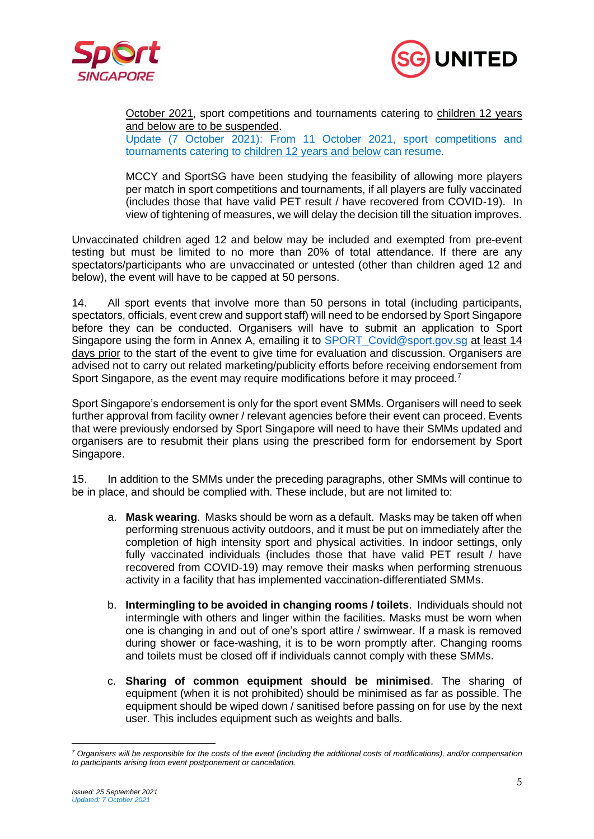



October 2021, sport competitions and tournaments catering to children 12 years and below are to be suspended.

Update (7 October 2021): From 11 October 2021, sport competitions and tournaments catering to children 12 years and below can resume.

MCCY and SportSG have been studying the feasibility of allowing more players per match in sport competitions and tournaments, if all players are fully vaccinated (includes those that have valid PET result / have recovered from COVID-19). In view of tightening of measures, we will delay the decision till the situation improves.

Unvaccinated children aged 12 and below may be included and exempted from pre-event testing but must be limited to no more than 20% of total attendance. If there are any spectators/participants who are unvaccinated or untested (other than children aged 12 and below), the event will have to be capped at 50 persons.

14. All sport events that involve more than 50 persons in total (including participants, spectators, officials, event crew and support staff) will need to be endorsed by Sport Singapore before they can be conducted. Organisers will have to submit an application to Sport Singapore using the form in Annex A, emailing it to SPORT Covid@sport.gov.sg at least 14 days prior to the start of the event to give time for evaluation and discussion. Organisers are advised not to carry out related marketing/publicity efforts before receiving endorsement from Sport Singapore, as the event may require modifications before it may proceed.<sup>7</sup>

Sport Singapore's endorsement is only for the sport event SMMs. Organisers will need to seek further approval from facility owner / relevant agencies before their event can proceed. Events that were previously endorsed by Sport Singapore will need to have their SMMs updated and organisers are to resubmit their plans using the prescribed form for endorsement by Sport Singapore.

15. In addition to the SMMs under the preceding paragraphs, other SMMs will continue to be in place, and should be complied with. These include, but are not limited to:

- a. **Mask wearing**. Masks should be worn as a default. Masks may be taken off when performing strenuous activity outdoors, and it must be put on immediately after the completion of high intensity sport and physical activities. In indoor settings, only fully vaccinated individuals (includes those that have valid PET result / have recovered from COVID-19) may remove their masks when performing strenuous activity in a facility that has implemented vaccination-differentiated SMMs.
- b. **Intermingling to be avoided in changing rooms / toilets**. Individuals should not intermingle with others and linger within the facilities. Masks must be worn when one is changing in and out of one's sport attire / swimwear. If a mask is removed during shower or face-washing, it is to be worn promptly after. Changing rooms and toilets must be closed off if individuals cannot comply with these SMMs.
- c. **Sharing of common equipment should be minimised**. The sharing of equipment (when it is not prohibited) should be minimised as far as possible. The equipment should be wiped down / sanitised before passing on for use by the next user. This includes equipment such as weights and balls.

*<sup>7</sup> Organisers will be responsible for the costs of the event (including the additional costs of modifications), and/or compensation to participants arising from event postponement or cancellation.*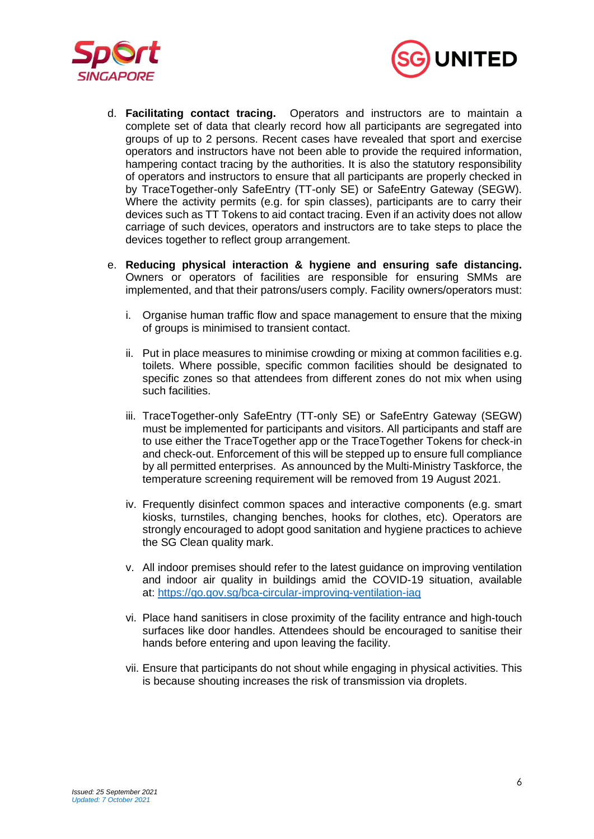



- d. **Facilitating contact tracing.** Operators and instructors are to maintain a complete set of data that clearly record how all participants are segregated into groups of up to 2 persons. Recent cases have revealed that sport and exercise operators and instructors have not been able to provide the required information, hampering contact tracing by the authorities. It is also the statutory responsibility of operators and instructors to ensure that all participants are properly checked in by TraceTogether-only SafeEntry (TT-only SE) or SafeEntry Gateway (SEGW). Where the activity permits (e.g. for spin classes), participants are to carry their devices such as TT Tokens to aid contact tracing. Even if an activity does not allow carriage of such devices, operators and instructors are to take steps to place the devices together to reflect group arrangement.
- e. **Reducing physical interaction & hygiene and ensuring safe distancing.** Owners or operators of facilities are responsible for ensuring SMMs are implemented, and that their patrons/users comply. Facility owners/operators must:
	- i. Organise human traffic flow and space management to ensure that the mixing of groups is minimised to transient contact.
	- ii. Put in place measures to minimise crowding or mixing at common facilities e.g. toilets. Where possible, specific common facilities should be designated to specific zones so that attendees from different zones do not mix when using such facilities.
	- iii. TraceTogether-only SafeEntry (TT-only SE) or SafeEntry Gateway (SEGW) must be implemented for participants and visitors. All participants and staff are to use either the TraceTogether app or the TraceTogether Tokens for check-in and check-out. Enforcement of this will be stepped up to ensure full compliance by all permitted enterprises. As announced by the Multi-Ministry Taskforce, the temperature screening requirement will be removed from 19 August 2021.
	- iv. Frequently disinfect common spaces and interactive components (e.g. smart kiosks, turnstiles, changing benches, hooks for clothes, etc). Operators are strongly encouraged to adopt good sanitation and hygiene practices to achieve the SG Clean quality mark.
	- v. All indoor premises should refer to the latest guidance on improving ventilation and indoor air quality in buildings amid the COVID-19 situation, available at: <https://go.gov.sg/bca-circular-improving-ventilation-iaq>
	- vi. Place hand sanitisers in close proximity of the facility entrance and high-touch surfaces like door handles. Attendees should be encouraged to sanitise their hands before entering and upon leaving the facility.
	- vii. Ensure that participants do not shout while engaging in physical activities. This is because shouting increases the risk of transmission via droplets.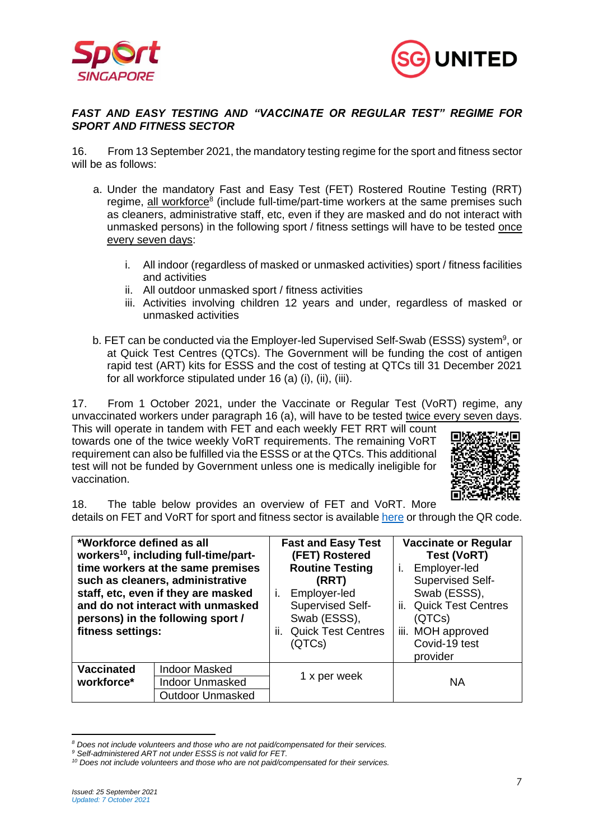



#### *FAST AND EASY TESTING AND "VACCINATE OR REGULAR TEST" REGIME FOR SPORT AND FITNESS SECTOR*

16. From 13 September 2021, the mandatory testing regime for the sport and fitness sector will be as follows:

- a. Under the mandatory Fast and Easy Test (FET) Rostered Routine Testing (RRT) regime, all workforce<sup>8</sup> (include full-time/part-time workers at the same premises such as cleaners, administrative staff, etc, even if they are masked and do not interact with unmasked persons) in the following sport / fitness settings will have to be tested once every seven days:
	- i. All indoor (regardless of masked or unmasked activities) sport / fitness facilities and activities
	- ii. All outdoor unmasked sport / fitness activities
	- iii. Activities involving children 12 years and under, regardless of masked or unmasked activities
- b. FET can be conducted via the Employer-led Supervised Self-Swab (ESSS) system<sup>9</sup>, or at Quick Test Centres (QTCs). The Government will be funding the cost of antigen rapid test (ART) kits for ESSS and the cost of testing at QTCs till 31 December 2021 for all workforce stipulated under 16 (a) (i), (ii), (iii).

17. From 1 October 2021, under the Vaccinate or Regular Test (VoRT) regime, any unvaccinated workers under paragraph 16 (a), will have to be tested twice every seven days.

This will operate in tandem with FET and each weekly FET RRT will count towards one of the twice weekly VoRT requirements. The remaining VoRT requirement can also be fulfilled via the ESSS or at the QTCs. This additional test will not be funded by Government unless one is medically ineligible for vaccination.



18. The table below provides an overview of FET and VoRT. More details on FET and VoRT for sport and fitness sector is availabl[e here](https://www.sportsingapore.gov.sg/Newsroom/Media-Releases/2021/June/(Updated-25-Sep-2021)-Fast-And-Easy-Testing-and-%E2%80%9CVORT%E2%80%9D-Regime-For-Sport-And-Fitness-Sector) or through the QR code.

| *Workforce defined as all<br>fitness settings: | workers <sup>10</sup> , including full-time/part-<br>time workers at the same premises<br>such as cleaners, administrative<br>staff, etc, even if they are masked<br>and do not interact with unmasked<br>persons) in the following sport / | <b>Fast and Easy Test</b><br>(FET) Rostered<br><b>Routine Testing</b><br>(RRT)<br>Employer-led<br>$\mathbf{L}$<br>Supervised Self-<br>Swab (ESSS),<br><b>Quick Test Centres</b><br>II.<br>(QTCs) | <b>Vaccinate or Regular</b><br><b>Test (VoRT)</b><br>Employer-led<br>Ĺ.<br>Supervised Self-<br>Swab (ESSS),<br>ii. Quick Test Centres<br>(QTCs)<br>iii. MOH approved<br>Covid-19 test<br>provider |
|------------------------------------------------|---------------------------------------------------------------------------------------------------------------------------------------------------------------------------------------------------------------------------------------------|--------------------------------------------------------------------------------------------------------------------------------------------------------------------------------------------------|---------------------------------------------------------------------------------------------------------------------------------------------------------------------------------------------------|
| <b>Vaccinated</b>                              | <b>Indoor Masked</b>                                                                                                                                                                                                                        |                                                                                                                                                                                                  |                                                                                                                                                                                                   |
| workforce*                                     | <b>Indoor Unmasked</b>                                                                                                                                                                                                                      | 1 x per week                                                                                                                                                                                     | <b>NA</b>                                                                                                                                                                                         |
|                                                | <b>Outdoor Unmasked</b>                                                                                                                                                                                                                     |                                                                                                                                                                                                  |                                                                                                                                                                                                   |

*<sup>8</sup> Does not include volunteers and those who are not paid/compensated for their services.*

*<sup>9</sup> Self-administered ART not under ESSS is not valid for FET.*

*<sup>10</sup> Does not include volunteers and those who are not paid/compensated for their services.*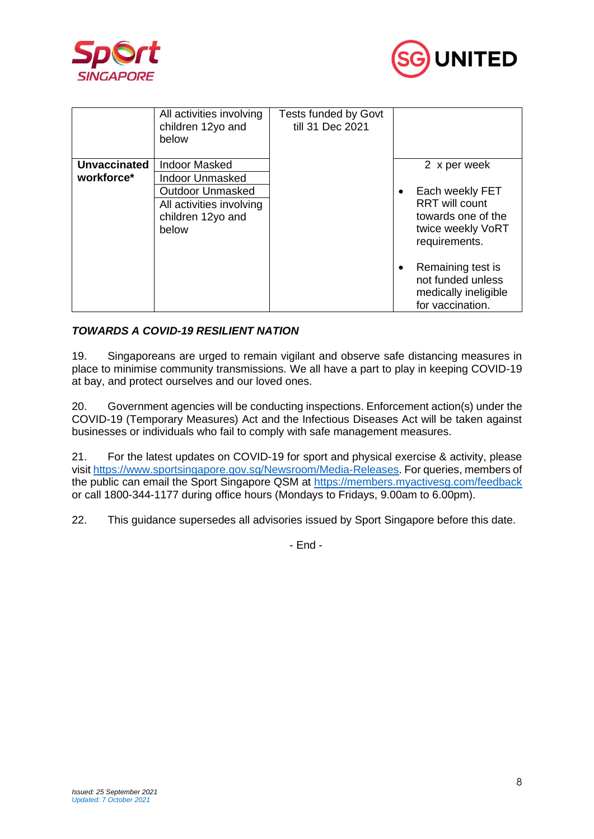



|                     | All activities involving<br>children 12yo and<br>below                                                      | <b>Tests funded by Govt</b><br>till 31 Dec 2021 |                                                                                                                   |
|---------------------|-------------------------------------------------------------------------------------------------------------|-------------------------------------------------|-------------------------------------------------------------------------------------------------------------------|
| <b>Unvaccinated</b> | Indoor Masked                                                                                               |                                                 | 2 x per week                                                                                                      |
| workforce*          | <b>Indoor Unmasked</b><br><b>Outdoor Unmasked</b><br>All activities involving<br>children 12yo and<br>below |                                                 | Each weekly FET<br>$\bullet$<br><b>RRT</b> will count<br>towards one of the<br>twice weekly VoRT<br>requirements. |
|                     |                                                                                                             |                                                 | Remaining test is<br>٠<br>not funded unless<br>medically ineligible<br>for vaccination.                           |

# *TOWARDS A COVID-19 RESILIENT NATION*

19. Singaporeans are urged to remain vigilant and observe safe distancing measures in place to minimise community transmissions. We all have a part to play in keeping COVID-19 at bay, and protect ourselves and our loved ones.

20. Government agencies will be conducting inspections. Enforcement action(s) under the COVID-19 (Temporary Measures) Act and the Infectious Diseases Act will be taken against businesses or individuals who fail to comply with safe management measures.

21. For the latest updates on COVID-19 for sport and physical exercise & activity, please visit [https://www.sportsingapore.gov.sg/Newsroom/Media-Releases.](https://www.sportsingapore.gov.sg/Newsroom/Media-Releases) For queries, members of the public can email the Sport Singapore QSM at<https://members.myactivesg.com/feedback> or call 1800-344-1177 during office hours (Mondays to Fridays, 9.00am to 6.00pm).

22. This guidance supersedes all advisories issued by Sport Singapore before this date.

- End -